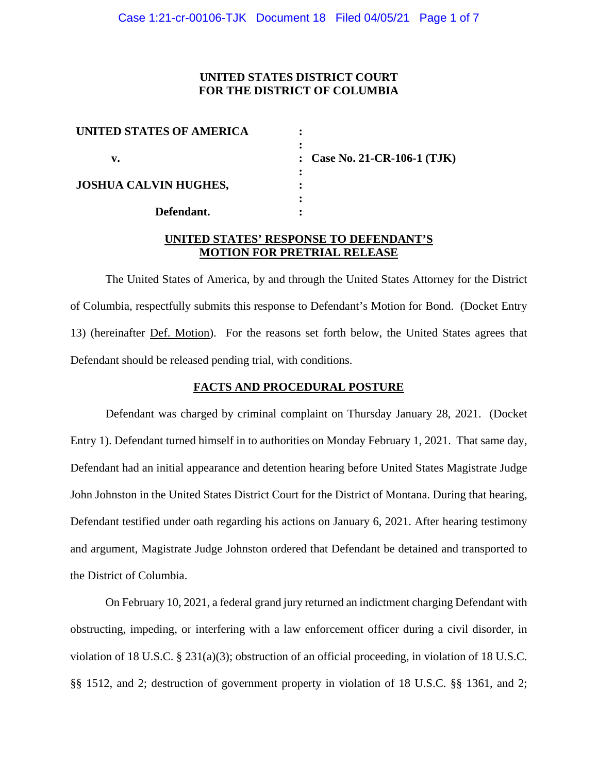# **UNITED STATES DISTRICT COURT FOR THE DISTRICT OF COLUMBIA**

| UNITED STATES OF AMERICA     |                              |
|------------------------------|------------------------------|
| v.                           | : Case No. 21-CR-106-1 (TJK) |
| <b>JOSHUA CALVIN HUGHES,</b> |                              |
| Defendant.                   |                              |

# **UNITED STATES' RESPONSE TO DEFENDANT'S MOTION FOR PRETRIAL RELEASE**

The United States of America, by and through the United States Attorney for the District of Columbia, respectfully submits this response to Defendant's Motion for Bond. (Docket Entry 13) (hereinafter Def. Motion). For the reasons set forth below, the United States agrees that Defendant should be released pending trial, with conditions.

#### **FACTS AND PROCEDURAL POSTURE**

Defendant was charged by criminal complaint on Thursday January 28, 2021. (Docket Entry 1). Defendant turned himself in to authorities on Monday February 1, 2021. That same day, Defendant had an initial appearance and detention hearing before United States Magistrate Judge John Johnston in the United States District Court for the District of Montana. During that hearing, Defendant testified under oath regarding his actions on January 6, 2021. After hearing testimony and argument, Magistrate Judge Johnston ordered that Defendant be detained and transported to the District of Columbia.

On February 10, 2021, a federal grand jury returned an indictment charging Defendant with obstructing, impeding, or interfering with a law enforcement officer during a civil disorder, in violation of 18 U.S.C. § 231(a)(3); obstruction of an official proceeding, in violation of 18 U.S.C. §§ 1512, and 2; destruction of government property in violation of 18 U.S.C. §§ 1361, and 2;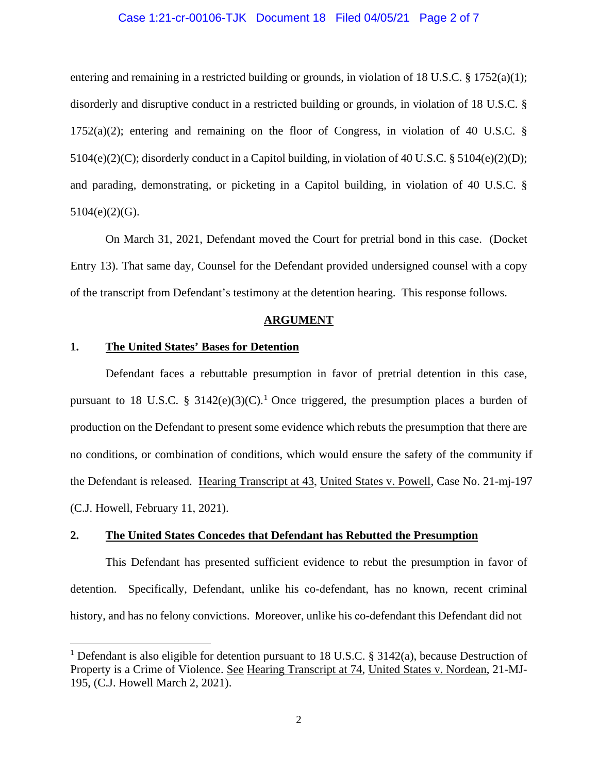### Case 1:21-cr-00106-TJK Document 18 Filed 04/05/21 Page 2 of 7

entering and remaining in a restricted building or grounds, in violation of 18 U.S.C.  $\S$  1752(a)(1); disorderly and disruptive conduct in a restricted building or grounds, in violation of 18 U.S.C. § 1752(a)(2); entering and remaining on the floor of Congress, in violation of 40 U.S.C. §  $5104(e)(2)(C)$ ; disorderly conduct in a Capitol building, in violation of 40 U.S.C. §  $5104(e)(2)(D)$ ; and parading, demonstrating, or picketing in a Capitol building, in violation of 40 U.S.C. §  $5104(e)(2)(G)$ .

On March 31, 2021, Defendant moved the Court for pretrial bond in this case. (Docket Entry 13). That same day, Counsel for the Defendant provided undersigned counsel with a copy of the transcript from Defendant's testimony at the detention hearing. This response follows.

#### **ARGUMENT**

#### **1. The United States' Bases for Detention**

Defendant faces a rebuttable presumption in favor of pretrial detention in this case, pursuant to 18 U.S.C. § 3142(e)(3)(C).<sup>1</sup> Once triggered, the presumption places a burden of production on the Defendant to present some evidence which rebuts the presumption that there are no conditions, or combination of conditions, which would ensure the safety of the community if the Defendant is released. Hearing Transcript at 43, United States v. Powell, Case No. 21-mj-197 (C.J. Howell, February 11, 2021).

### **2. The United States Concedes that Defendant has Rebutted the Presumption**

This Defendant has presented sufficient evidence to rebut the presumption in favor of detention. Specifically, Defendant, unlike his co-defendant, has no known, recent criminal history, and has no felony convictions. Moreover, unlike his co-defendant this Defendant did not

<sup>&</sup>lt;sup>1</sup> Defendant is also eligible for detention pursuant to 18 U.S.C. § 3142(a), because Destruction of Property is a Crime of Violence. See Hearing Transcript at 74, United States v. Nordean, 21-MJ-195, (C.J. Howell March 2, 2021).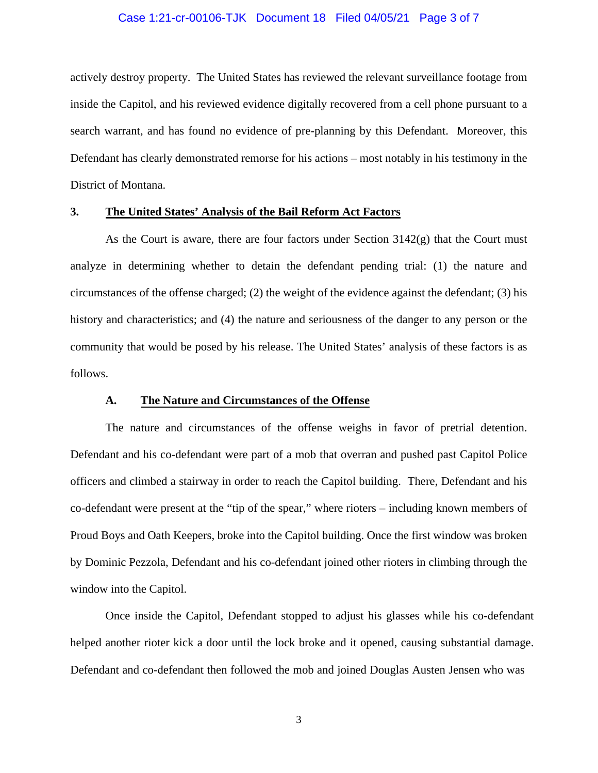#### Case 1:21-cr-00106-TJK Document 18 Filed 04/05/21 Page 3 of 7

actively destroy property. The United States has reviewed the relevant surveillance footage from inside the Capitol, and his reviewed evidence digitally recovered from a cell phone pursuant to a search warrant, and has found no evidence of pre-planning by this Defendant. Moreover, this Defendant has clearly demonstrated remorse for his actions – most notably in his testimony in the District of Montana.

### **3. The United States' Analysis of the Bail Reform Act Factors**

As the Court is aware, there are four factors under Section 3142(g) that the Court must analyze in determining whether to detain the defendant pending trial: (1) the nature and circumstances of the offense charged; (2) the weight of the evidence against the defendant; (3) his history and characteristics; and (4) the nature and seriousness of the danger to any person or the community that would be posed by his release. The United States' analysis of these factors is as follows.

## **A. The Nature and Circumstances of the Offense**

The nature and circumstances of the offense weighs in favor of pretrial detention. Defendant and his co-defendant were part of a mob that overran and pushed past Capitol Police officers and climbed a stairway in order to reach the Capitol building. There, Defendant and his co-defendant were present at the "tip of the spear," where rioters – including known members of Proud Boys and Oath Keepers, broke into the Capitol building. Once the first window was broken by Dominic Pezzola, Defendant and his co-defendant joined other rioters in climbing through the window into the Capitol.

Once inside the Capitol, Defendant stopped to adjust his glasses while his co-defendant helped another rioter kick a door until the lock broke and it opened, causing substantial damage. Defendant and co-defendant then followed the mob and joined Douglas Austen Jensen who was

3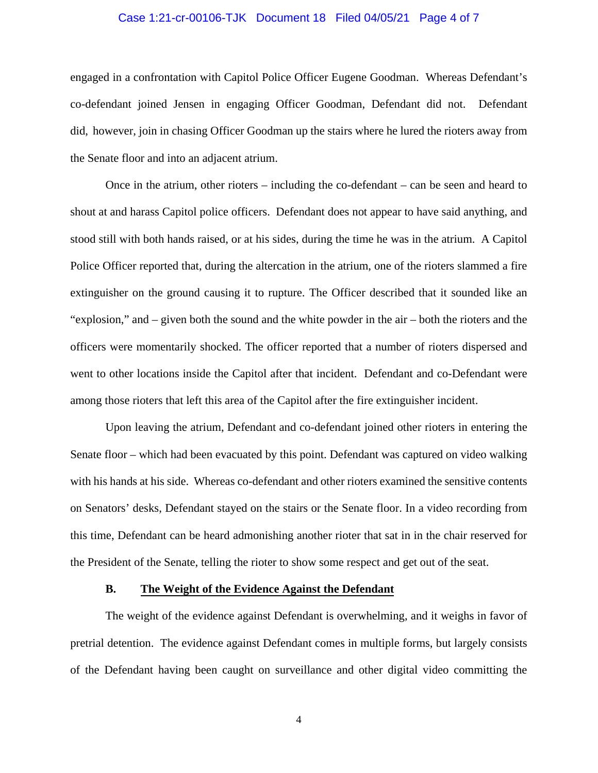### Case 1:21-cr-00106-TJK Document 18 Filed 04/05/21 Page 4 of 7

engaged in a confrontation with Capitol Police Officer Eugene Goodman. Whereas Defendant's co-defendant joined Jensen in engaging Officer Goodman, Defendant did not. Defendant did, however, join in chasing Officer Goodman up the stairs where he lured the rioters away from the Senate floor and into an adjacent atrium.

Once in the atrium, other rioters – including the co-defendant – can be seen and heard to shout at and harass Capitol police officers. Defendant does not appear to have said anything, and stood still with both hands raised, or at his sides, during the time he was in the atrium. A Capitol Police Officer reported that, during the altercation in the atrium, one of the rioters slammed a fire extinguisher on the ground causing it to rupture. The Officer described that it sounded like an "explosion," and – given both the sound and the white powder in the air – both the rioters and the officers were momentarily shocked. The officer reported that a number of rioters dispersed and went to other locations inside the Capitol after that incident. Defendant and co-Defendant were among those rioters that left this area of the Capitol after the fire extinguisher incident.

Upon leaving the atrium, Defendant and co-defendant joined other rioters in entering the Senate floor – which had been evacuated by this point. Defendant was captured on video walking with his hands at his side. Whereas co-defendant and other rioters examined the sensitive contents on Senators' desks, Defendant stayed on the stairs or the Senate floor. In a video recording from this time, Defendant can be heard admonishing another rioter that sat in in the chair reserved for the President of the Senate, telling the rioter to show some respect and get out of the seat.

#### **B. The Weight of the Evidence Against the Defendant**

The weight of the evidence against Defendant is overwhelming, and it weighs in favor of pretrial detention. The evidence against Defendant comes in multiple forms, but largely consists of the Defendant having been caught on surveillance and other digital video committing the

4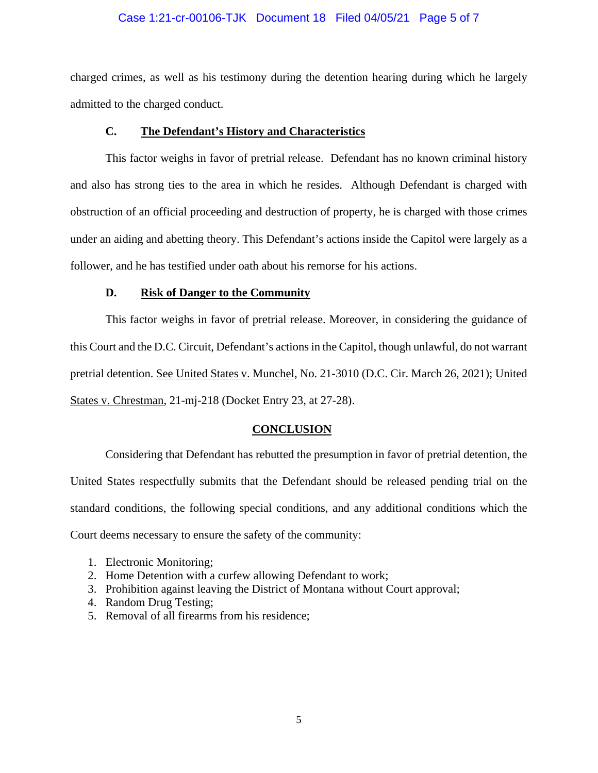### Case 1:21-cr-00106-TJK Document 18 Filed 04/05/21 Page 5 of 7

charged crimes, as well as his testimony during the detention hearing during which he largely admitted to the charged conduct.

# **C. The Defendant's History and Characteristics**

This factor weighs in favor of pretrial release. Defendant has no known criminal history and also has strong ties to the area in which he resides. Although Defendant is charged with obstruction of an official proceeding and destruction of property, he is charged with those crimes under an aiding and abetting theory. This Defendant's actions inside the Capitol were largely as a follower, and he has testified under oath about his remorse for his actions.

## **D. Risk of Danger to the Community**

This factor weighs in favor of pretrial release. Moreover, in considering the guidance of this Court and the D.C. Circuit, Defendant's actions in the Capitol, though unlawful, do not warrant pretrial detention. See United States v. Munchel, No. 21-3010 (D.C. Cir. March 26, 2021); United States v. Chrestman, 21-mj-218 (Docket Entry 23, at 27-28).

# **CONCLUSION**

Considering that Defendant has rebutted the presumption in favor of pretrial detention, the United States respectfully submits that the Defendant should be released pending trial on the standard conditions, the following special conditions, and any additional conditions which the Court deems necessary to ensure the safety of the community:

- 1. Electronic Monitoring;
- 2. Home Detention with a curfew allowing Defendant to work;
- 3. Prohibition against leaving the District of Montana without Court approval;
- 4. Random Drug Testing;
- 5. Removal of all firearms from his residence;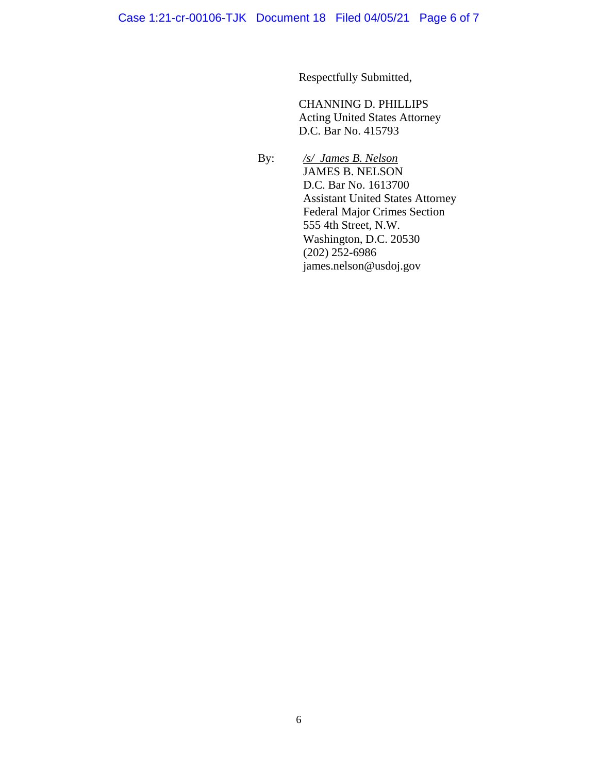Respectfully Submitted,

CHANNING D. PHILLIPS Acting United States Attorney D.C. Bar No. 415793

 By: */s/ James B. Nelson* JAMES B. NELSON D.C. Bar No. 1613700 Assistant United States Attorney Federal Major Crimes Section 555 4th Street, N.W. Washington, D.C. 20530 (202) 252**-**6986 james.nelson@usdoj.gov